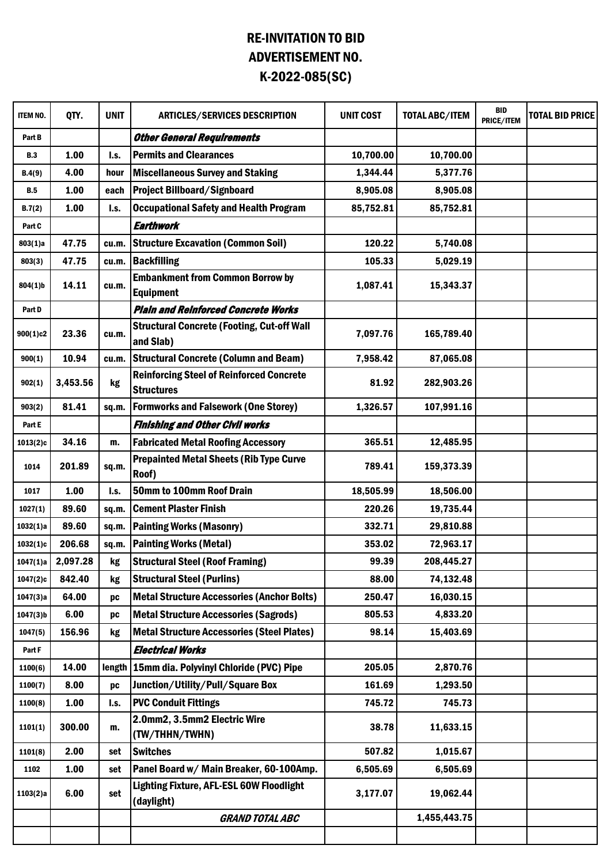## RE-INVITATION TO BID ADVERTISEMENT NO. K-2022-085(SC)

| <b>ITEM NO.</b> | QTY.     | <b>UNIT</b> | <b>ARTICLES/SERVICES DESCRIPTION</b>                                 | <b>UNIT COST</b> | <b>TOTAL ABC/ITEM</b> | <b>BID</b><br>PRICE/ITEM | <b>TOTAL BID PRICE</b> |
|-----------------|----------|-------------|----------------------------------------------------------------------|------------------|-----------------------|--------------------------|------------------------|
| Part B          |          |             | <b>Other General Requirements</b>                                    |                  |                       |                          |                        |
| <b>B.3</b>      | 1.00     | I.s.        | <b>Permits and Clearances</b>                                        | 10,700.00        | 10,700.00             |                          |                        |
| B.4(9)          | 4.00     | hour        | <b>Miscellaneous Survey and Staking</b>                              | 1,344.44         | 5,377.76              |                          |                        |
| <b>B.5</b>      | 1.00     | each        | <b>Project Billboard/Signboard</b>                                   | 8,905.08         | 8,905.08              |                          |                        |
| B.7(2)          | 1.00     | I.s.        | <b>Occupational Safety and Health Program</b>                        | 85,752.81        | 85,752.81             |                          |                        |
| Part C          |          |             | Earthwork                                                            |                  |                       |                          |                        |
| 803(1)a         | 47.75    | cu.m.       | <b>Structure Excavation (Common Soil)</b>                            | 120.22           | 5,740.08              |                          |                        |
| 803(3)          | 47.75    | cu.m.       | <b>Backfilling</b>                                                   | 105.33           | 5,029.19              |                          |                        |
| 804(1)b         | 14.11    | cu.m.       | <b>Embankment from Common Borrow by</b><br><b>Equipment</b>          | 1,087.41         | 15,343.37             |                          |                        |
| Part D          |          |             | <b>Plain and Reinforced Concrete Works</b>                           |                  |                       |                          |                        |
| 900(1)c2        | 23.36    | cu.m.       | <b>Structural Concrete (Footing, Cut-off Wall</b><br>and Slab)       | 7,097.76         | 165,789.40            |                          |                        |
| 900(1)          | 10.94    | cu.m.       | <b>Structural Concrete (Column and Beam)</b>                         | 7,958.42         | 87,065.08             |                          |                        |
| 902(1)          | 3,453.56 | kg          | <b>Reinforcing Steel of Reinforced Concrete</b><br><b>Structures</b> | 81.92            | 282,903.26            |                          |                        |
| 903(2)          | 81.41    | sq.m.       | <b>Formworks and Falsework (One Storey)</b>                          | 1,326.57         | 107,991.16            |                          |                        |
| Part E          |          |             | <b>Finishing and Other Civil works</b>                               |                  |                       |                          |                        |
| 1013(2)c        | 34.16    | m.          | <b>Fabricated Metal Roofing Accessory</b>                            | 365.51           | 12,485.95             |                          |                        |
| 1014            | 201.89   | sq.m.       | <b>Prepainted Metal Sheets (Rib Type Curve</b><br>Roof)              | 789.41           | 159,373.39            |                          |                        |
| 1017            | 1.00     | I.s.        | 50mm to 100mm Roof Drain                                             | 18,505.99        | 18,506.00             |                          |                        |
| 1027(1)         | 89.60    | sq.m.       | <b>Cement Plaster Finish</b>                                         | 220.26           | 19,735.44             |                          |                        |
| 1032(1)a        | 89.60    | sq.m.       | <b>Painting Works (Masonry)</b>                                      | 332.71           | 29,810.88             |                          |                        |
| 1032(1)c        | 206.68   | sq.m.       | <b>Painting Works (Metal)</b>                                        | 353.02           | 72,963.17             |                          |                        |
| 1047(1)a        | 2,097.28 | kg          | <b>Structural Steel (Roof Framing)</b>                               | 99.39            | 208,445.27            |                          |                        |
| 1047(2)c        | 842.40   | kg          | <b>Structural Steel (Purlins)</b>                                    | 88.00            | 74,132.48             |                          |                        |
| 1047(3)a        | 64.00    | pc          | <b>Metal Structure Accessories (Anchor Bolts)</b>                    | 250.47           | 16,030.15             |                          |                        |
| $1047(3)$ b     | 6.00     | DC          | <b>Metal Structure Accessories (Sagrods)</b>                         | 805.53           | 4,833.20              |                          |                        |
| 1047(5)         | 156.96   | kg          | <b>Metal Structure Accessories (Steel Plates)</b>                    | 98.14            | 15,403.69             |                          |                        |
| Part F          |          |             | <b>Electrical Works</b>                                              |                  |                       |                          |                        |
| 1100(6)         | 14.00    | length      | 15mm dia. Polyvinyl Chloride (PVC) Pipe                              | 205.05           | 2,870.76              |                          |                        |
| 1100(7)         | 8.00     | DC          | Junction/Utility/Pull/Square Box                                     | 161.69           | 1,293.50              |                          |                        |
| 1100(8)         | 1.00     | l.s.        | <b>PVC Conduit Fittings</b>                                          | 745.72           | 745.73                |                          |                        |
| 1101(1)         | 300.00   | m.          | 2.0mm2, 3.5mm2 Electric Wire<br>(TW/THHN/TWHN)                       | 38.78            | 11,633.15             |                          |                        |
| 1101(8)         | 2.00     | set         | <b>Switches</b>                                                      | 507.82           | 1,015.67              |                          |                        |
| 1102            | 1.00     | set         | Panel Board w/ Main Breaker, 60-100Amp.                              | 6,505.69         | 6,505.69              |                          |                        |
| 1103(2)a        | 6.00     | set         | <b>Lighting Fixture, AFL-ESL 60W Floodlight</b><br>(daylight)        | 3,177.07         | 19,062.44             |                          |                        |
|                 |          |             | <b>GRAND TOTAL ABC</b>                                               |                  | 1,455,443.75          |                          |                        |
|                 |          |             |                                                                      |                  |                       |                          |                        |